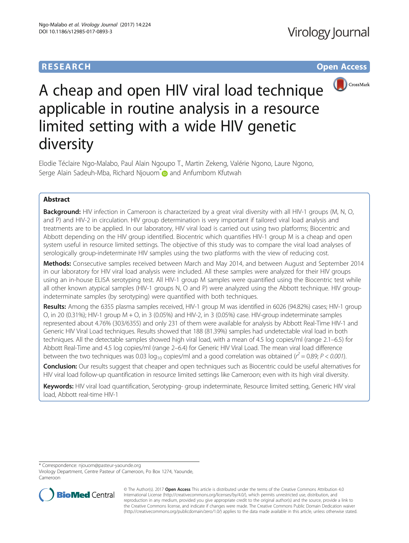# **RESEARCH CHE Open Access**



# A cheap and open HIV viral load technique applicable in routine analysis in a resource limited setting with a wide HIV genetic diversity

Elodie Téclaire Ngo-Malabo, Paul Alain Ngoupo T., Martin Zekeng, Valérie Ngono, Laure Ngono, Serge Alain Sadeuh-Mba, Richard Njouom<sup>\*</sup> and Anfumbom Kfutwah

# Abstract

Background: HIV infection in Cameroon is characterized by a great viral diversity with all HIV-1 groups (M, N, O, and P) and HIV-2 in circulation. HIV group determination is very important if tailored viral load analysis and treatments are to be applied. In our laboratory, HIV viral load is carried out using two platforms; Biocentric and Abbott depending on the HIV group identified. Biocentric which quantifies HIV-1 group M is a cheap and open system useful in resource limited settings. The objective of this study was to compare the viral load analyses of serologically group-indeterminate HIV samples using the two platforms with the view of reducing cost.

Methods: Consecutive samples received between March and May 2014, and between August and September 2014 in our laboratory for HIV viral load analysis were included. All these samples were analyzed for their HIV groups using an in-house ELISA serotyping test. All HIV-1 group M samples were quantified using the Biocentric test while all other known atypical samples (HIV-1 groups N, O and P) were analyzed using the Abbott technique. HIV groupindeterminate samples (by serotyping) were quantified with both techniques.

Results: Among the 6355 plasma samples received, HIV-1 group M was identified in 6026 (94.82%) cases; HIV-1 group  $O$ , in 20 (0.31%); HIV-1 group  $M + O$ , in 3 (0.05%) and HIV-2, in 3 (0.05%) case. HIV-group indeterminate samples represented about 4.76% (303/6355) and only 231 of them were available for analysis by Abbott Real-Time HIV-1 and Generic HIV Viral Load techniques. Results showed that 188 (81.39%) samples had undetectable viral load in both techniques. All the detectable samples showed high viral load, with a mean of 4.5 log copies/ml (range 2.1–6.5) for Abbott Real-Time and 4.5 log copies/ml (range 2–6.4) for Generic HIV Viral Load. The mean viral load difference between the two techniques was 0.03  $log_{10}$  copies/ml and a good correlation was obtained ( $r^2$  = 0.89; P < 0.001).

Conclusion: Our results suggest that cheaper and open techniques such as Biocentric could be useful alternatives for HIV viral load follow-up quantification in resource limited settings like Cameroon; even with its high viral diversity.

Keywords: HIV viral load quantification, Serotyping- group indeterminate, Resource limited setting, Generic HIV viral load, Abbott real-time HIV-1

\* Correspondence: [njouom@pasteur-yaounde.org](mailto:njouom@pasteur-yaounde.org)

Virology Department, Centre Pasteur of Cameroon, Po Box 1274, Yaounde, Cameroon



© The Author(s). 2017 **Open Access** This article is distributed under the terms of the Creative Commons Attribution 4.0 International License [\(http://creativecommons.org/licenses/by/4.0/](http://creativecommons.org/licenses/by/4.0/)), which permits unrestricted use, distribution, and reproduction in any medium, provided you give appropriate credit to the original author(s) and the source, provide a link to the Creative Commons license, and indicate if changes were made. The Creative Commons Public Domain Dedication waiver [\(http://creativecommons.org/publicdomain/zero/1.0/](http://creativecommons.org/publicdomain/zero/1.0/)) applies to the data made available in this article, unless otherwise stated.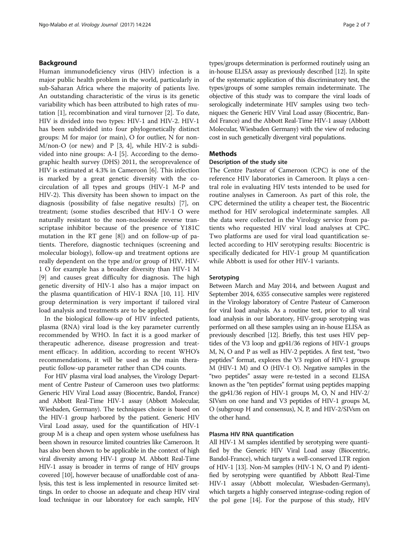# Background

Human immunodeficiency virus (HIV) infection is a major public health problem in the world, particularly in sub-Saharan Africa where the majority of patients live. An outstanding characteristic of the virus is its genetic variability which has been attributed to high rates of mutation [[1\]](#page-5-0), recombination and viral turnover [\[2](#page-5-0)]. To date, HIV is divided into two types: HIV-1 and HIV-2. HIV-1 has been subdivided into four phylogenetically distinct groups: M for major (or main), O for outlier, N for non-M/non-O (or new) and P [\[3, 4](#page-5-0)], while HIV-2 is subdivided into nine groups: A-I [[5\]](#page-5-0). According to the demographic health survey (DHS) 2011, the seroprevalence of HIV is estimated at 4.3% in Cameroon [\[6](#page-5-0)]. This infection is marked by a great genetic diversity with the cocirculation of all types and groups (HIV-1 M-P and HIV-2). This diversity has been shown to impact on the diagnosis (possibility of false negative results) [\[7](#page-5-0)], on treatment; (some studies described that HIV-1 O were naturally resistant to the non-nucleoside reverse transcriptase inhibitor because of the presence of Y181C mutation in the RT gene [[8\]](#page-5-0)) and on follow-up of patients. Therefore, diagnostic techniques (screening and molecular biology), follow-up and treatment options are really dependent on the type and/or group of HIV. HIV-1 O for example has a broader diversity than HIV-1 M [[9\]](#page-5-0) and causes great difficulty for diagnosis. The high genetic diversity of HIV-1 also has a major impact on the plasma quantification of HIV-1 RNA [\[10](#page-5-0), [11](#page-5-0)]. HIV group determination is very important if tailored viral load analysis and treatments are to be applied.

In the biological follow-up of HIV infected patients, plasma (RNA) viral load is the key parameter currently recommended by WHO. In fact it is a good marker of therapeutic adherence, disease progression and treatment efficacy. In addition, according to recent WHO's recommendations, it will be used as the main therapeutic follow-up parameter rather than CD4 counts.

For HIV plasma viral load analyses, the Virology Department of Centre Pasteur of Cameroon uses two platforms: Generic HIV Viral Load assay (Biocentric, Bandol, France) and Abbott Real-Time HIV-1 assay (Abbott Molecular, Wiesbaden, Germany). The techniques choice is based on the HIV-1 group harbored by the patient. Generic HIV Viral Load assay, used for the quantification of HIV-1 group M is a cheap and open system whose usefulness has been shown in resource limited countries like Cameroon. It has also been shown to be applicable in the context of high viral diversity among HIV-1 group M. Abbott Real-Time HIV-1 assay is broader in terms of range of HIV groups covered [\[10\]](#page-5-0), however because of unaffordable cost of analysis, this test is less implemented in resource limited settings. In order to choose an adequate and cheap HIV viral load technique in our laboratory for each sample, HIV

types/groups determination is performed routinely using an in-house ELISA assay as previously described [\[12](#page-5-0)]. In spite of the systematic application of this discriminatory test, the types/groups of some samples remain indeterminate. The objective of this study was to compare the viral loads of serologically indeterminate HIV samples using two techniques: the Generic HIV Viral Load assay (Biocentric, Bandol France) and the Abbott Real-Time HIV-1 assay (Abbott Molecular, Wiesbaden Germany) with the view of reducing cost in such genetically divergent viral populations.

# Methods

#### Description of the study site

The Centre Pasteur of Cameroon (CPC) is one of the reference HIV laboratories in Cameroon. It plays a central role in evaluating HIV tests intended to be used for routine analyses in Cameroon. As part of this role, the CPC determined the utility a cheaper test, the Biocentric method for HIV serological indeterminate samples. All the data were collected in the Virology service from patients who requested HIV viral load analyses at CPC. Two platforms are used for viral load quantification selected according to HIV serotyping results: Biocentric is specifically dedicated for HIV-1 group M quantification while Abbott is used for other HIV-1 variants.

### Serotyping

Between March and May 2014, and between August and September 2014, 6355 consecutive samples were registered in the Virology laboratory of Centre Pasteur of Cameroon for viral load analysis. As a routine test, prior to all viral load analysis in our laboratory, HIV-group serotyping was performed on all these samples using an in-house ELISA as previously described [\[12](#page-5-0)]. Briefly, this test uses HIV peptides of the V3 loop and gp41/36 regions of HIV-1 groups M, N, O and P as well as HIV-2 peptides. A first test, "two peptides" format, explores the V3 region of HIV-1 groups M (HIV-1 M) and O (HIV-1 O). Negative samples in the "two peptides" assay were re-tested in a second ELISA known as the "ten peptides" format using peptides mapping the gp41/36 region of HIV-1 groups M, O, N and HIV-2/ SIVsm on one hand and V3 peptides of HIV-1 groups M, O (subgroup H and consensus), N, P, and HIV-2/SIVsm on the other hand.

# Plasma HIV RNA quantification

All HIV-1 M samples identified by serotyping were quantified by the Generic HIV Viral Load assay (Biocentric, Bandol-France), which targets a well-conserved LTR region of HIV-1 [\[13\]](#page-5-0). Non-M samples (HIV-1 N, O and P) identified by serotyping were quantified by Abbott Real-Time HIV-1 assay (Abbott molecular, Wiesbaden-Germany), which targets a highly conserved integrase-coding region of the pol gene [\[14](#page-5-0)]. For the purpose of this study, HIV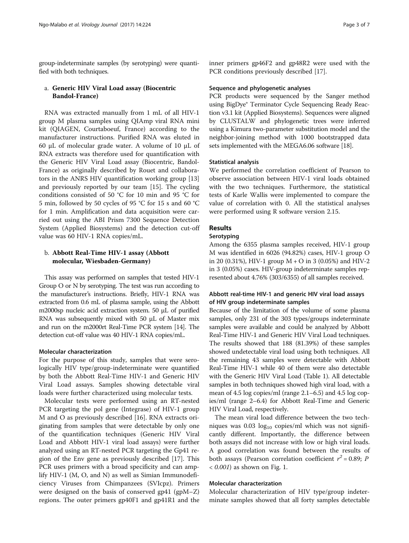group-indeterminate samples (by serotyping) were quantified with both techniques.

# a. Generic HIV Viral Load assay (Biocentric Bandol-France)

RNA was extracted manually from 1 mL of all HIV-1 group M plasma samples using QIAmp viral RNA mini kit (QIAGEN, Courtaboeuf, France) according to the manufacturer instructions. Purified RNA was eluted in 60 μL of molecular grade water. A volume of 10 μL of RNA extracts was therefore used for quantification with the Generic HIV Viral Load assay (Biocentric, Bandol-France) as originally described by Rouet and collaborators in the ANRS HIV quantification working group [[13](#page-5-0)] and previously reported by our team [[15\]](#page-5-0). The cycling conditions consisted of 50 °C for 10 min and 95 °C for 5 min, followed by 50 cycles of 95 °C for 15 s and 60 °C for 1 min. Amplification and data acquisition were carried out using the ABI Prism 7300 Sequence Detection System (Applied Biosystems) and the detection cut-off value was 60 HIV-1 RNA copies/mL.

# b. Abbott Real-Time HIV-1 assay (Abbott molecular, Wiesbaden-Germany)

This assay was performed on samples that tested HIV-1 Group O or N by serotyping. The test was run according to the manufacturer's instructions. Briefly, HIV-1 RNA was extracted from 0.6 mL of plasma sample, using the Abbott m2000sp nucleic acid extraction system. 50 μL of purified RNA was subsequently mixed with 50 μL of Master mix and run on the m2000rt Real-Time PCR system [[14](#page-5-0)]. The detection cut-off value was 40 HIV-1 RNA copies/mL.

# Molecular characterization

For the purpose of this study, samples that were serologically HIV type/group-indeterminate were quantified by both the Abbott Real-Time HIV-1 and Generic HIV Viral Load assays. Samples showing detectable viral loads were further characterized using molecular tests.

Molecular tests were performed using an RT-nested PCR targeting the pol gene (Integrase) of HIV-1 group M and O as previously described [[16\]](#page-5-0). RNA extracts originating from samples that were detectable by only one of the quantification techniques (Generic HIV Viral Load and Abbott HIV-1 viral load assays) were further analyzed using an RT-nested PCR targeting the Gp41 region of the Env gene as previously described [\[17](#page-5-0)]. This PCR uses primers with a broad specificity and can amplify HIV-1 (M, O, and N) as well as Simian Immunodeficiency Viruses from Chimpanzees (SVIcpz). Primers were designed on the basis of conserved gp41 (gpM–Z) regions. The outer primers gp40F1 and gp41R1 and the inner primers gp46F2 and gp48R2 were used with the PCR conditions previously described [\[17\]](#page-5-0).

#### Sequence and phylogenetic analyses

PCR products were sequenced by the Sanger method using BigDye® Terminator Cycle Sequencing Ready Reaction v3.1 kit (Applied Biosystems). Sequences were aligned by CLUSTALW and phylogenetic trees were inferred using a Kimura two-parameter substitution model and the neighbor-joining method with 1000 bootstrapped data sets implemented with the MEGA6.06 software [\[18\]](#page-6-0).

#### Statistical analysis

We performed the correlation coefficient of Pearson to observe association between HIV-1 viral loads obtained with the two techniques. Furthermore, the statistical tests of Karle Wallis were implemented to compare the value of correlation with 0. All the statistical analyses were performed using R software version 2.15.

# Results

# Serotyping

Among the 6355 plasma samples received, HIV-1 group M was identified in 6026 (94.82%) cases, HIV-1 group O in 20 (0.31%), HIV-1 group  $M + O$  in 3 (0.05%) and HIV-2 in 3 (0.05%) cases. HIV-group indeterminate samples represented about 4.76% (303/6355) of all samples received.

# Abbott real-time HIV-1 and generic HIV viral load assays of HIV group indeterminate samples

Because of the limitation of the volume of some plasma samples, only 231 of the 303 types/groups indeterminate samples were available and could be analyzed by Abbott Real-Time HIV-1 and Generic HIV Viral Load techniques. The results showed that 188 (81.39%) of these samples showed undetectable viral load using both techniques. All the remaining 43 samples were detectable with Abbott Real-Time HIV-1 while 40 of them were also detectable with the Generic HIV Viral Load (Table [1\)](#page-3-0). All detectable samples in both techniques showed high viral load, with a mean of 4.5 log copies/ml (range 2.1–6.5) and 4.5 log copies/ml (range 2–6.4) for Abbott Real-Time and Generic HIV Viral Load, respectively.

The mean viral load difference between the two techniques was  $0.03 \text{ log}_{10}$  copies/ml which was not significantly different. Importantly, the difference between both assays did not increase with low or high viral loads. A good correlation was found between the results of both assays (Pearson correlation coefficient  $r^2 = 0.89$ ; P  $<$  0.001) as shown on Fig. [1.](#page-3-0)

# Molecular characterization

Molecular characterization of HIV type/group indeterminate samples showed that all forty samples detectable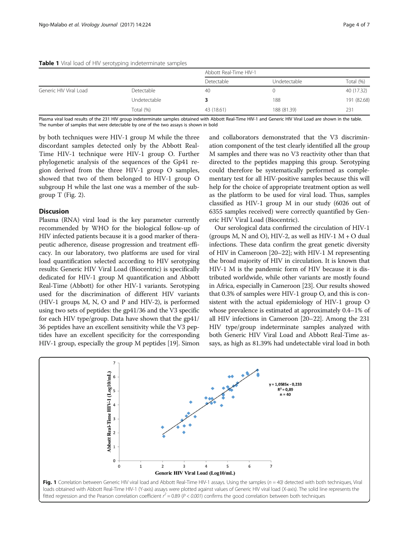#### <span id="page-3-0"></span>Table 1 Viral load of HIV serotyping indeterminate samples

|                        |              | Abbott Real-Time HIV-1 |              |             |
|------------------------|--------------|------------------------|--------------|-------------|
|                        |              | Detectable             | Undetectable | Total (%)   |
| Generic HIV Viral Load | Detectable   | 40                     |              | 40 (17.32)  |
|                        | Undetectable |                        | 188          | 191 (82.68) |
|                        | Total (%)    | 43 (18.61)             | 188 (81.39)  | 231         |

Plasma viral load results of the 231 HIV group indeterminate samples obtained with Abbott Real-Time HIV-1 and Generic HIV Viral Load are shown in the table. The number of samples that were detectable by one of the two assays is shown in bold

by both techniques were HIV-1 group M while the three discordant samples detected only by the Abbott Real-Time HIV-1 technique were HIV-1 group O. Further phylogenetic analysis of the sequences of the Gp41 region derived from the three HIV-1 group O samples, showed that two of them belonged to HIV-1 group O subgroup H while the last one was a member of the subgroup T (Fig. [2\)](#page-4-0).

#### Discusion

Plasma (RNA) viral load is the key parameter currently recommended by WHO for the biological follow-up of HIV infected patients because it is a good marker of therapeutic adherence, disease progression and treatment efficacy. In our laboratory, two platforms are used for viral load quantification selected according to HIV serotyping results: Generic HIV Viral Load (Biocentric) is specifically dedicated for HIV-1 group M quantification and Abbott Real-Time (Abbott) for other HIV-1 variants. Serotyping used for the discrimination of different HIV variants (HIV-1 groups M, N, O and P and HIV-2), is performed using two sets of peptides: the gp41/36 and the V3 specific for each HIV type/group. Data have shown that the gp41/ 36 peptides have an excellent sensitivity while the V3 peptides have an excellent specificity for the corresponding HIV-1 group, especially the group M peptides [\[19\]](#page-6-0). Simon

and collaborators demonstrated that the V3 discrimination component of the test clearly identified all the group M samples and there was no V3 reactivity other than that directed to the peptides mapping this group. Serotyping could therefore be systematically performed as complementary test for all HIV-positive samples because this will help for the choice of appropriate treatment option as well as the platform to be used for viral load. Thus, samples classified as HIV-1 group M in our study (6026 out of 6355 samples received) were correctly quantified by Generic HIV Viral Load (Biocentric).

Our serological data confirmed the circulation of HIV-1 (groups M, N and O), HIV-2, as well as HIV-1  $M + O$  dual infections. These data confirm the great genetic diversity of HIV in Cameroon [[20](#page-6-0)–[22\]](#page-6-0); with HIV-1 M representing the broad majority of HIV in circulation. It is known that HIV-1 M is the pandemic form of HIV because it is distributed worldwide, while other variants are mostly found in Africa, especially in Cameroon [\[23\]](#page-6-0). Our results showed that 0.3% of samples were HIV-1 group O, and this is consistent with the actual epidemiology of HIV-1 group O whose prevalence is estimated at approximately 0.4–1% of all HIV infections in Cameroon [[20](#page-6-0)–[22\]](#page-6-0). Among the 231 HIV type/group indeterminate samples analyzed with both Generic HIV Viral Load and Abbott Real-Time assays, as high as 81.39% had undetectable viral load in both

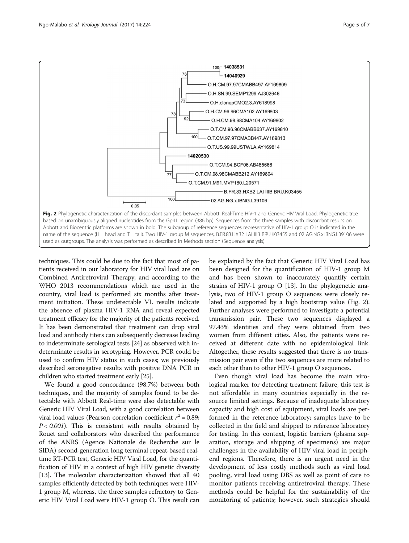<span id="page-4-0"></span>

techniques. This could be due to the fact that most of patients received in our laboratory for HIV viral load are on Combined Antiretroviral Therapy; and according to the WHO 2013 recommendations which are used in the country, viral load is performed six months after treatment initiation. These undetectable VL results indicate the absence of plasma HIV-1 RNA and reveal expected treatment efficacy for the majority of the patients received. It has been demonstrated that treatment can drop viral load and antibody titers can subsequently decrease leading to indeterminate serological tests [\[24](#page-6-0)] as observed with indeterminate results in serotyping. However, PCR could be used to confirm HIV status in such cases; we previously described seronegative results with positive DNA PCR in children who started treatment early [\[25\]](#page-6-0).

We found a good concordance (98.7%) between both techniques, and the majority of samples found to be detectable with Abbott Real-time were also detectable with Generic HIV Viral Load, with a good correlation between viral load values (Pearson correlation coefficient  $r^2 = 0.89$ ;  $P < 0.001$ ). This is consistent with results obtained by Rouet and collaborators who described the performance of the ANRS (Agence Nationale de Recherche sur le SIDA) second-generation long terminal repeat-based realtime RT-PCR test, Generic HIV Viral Load, for the quantification of HIV in a context of high HIV genetic diversity [[13](#page-5-0)]. The molecular characterization showed that all 40 samples efficiently detected by both techniques were HIV-1 group M, whereas, the three samples refractory to Generic HIV Viral Load were HIV-1 group O. This result can be explained by the fact that Generic HIV Viral Load has been designed for the quantification of HIV-1 group M and has been shown to inaccurately quantify certain strains of HIV-1 group O [\[13](#page-5-0)]. In the phylogenetic analysis, two of HIV-1 group O sequences were closely related and supported by a high bootstrap value (Fig. 2). Further analyses were performed to investigate a potential transmission pair. These two sequences displayed a 97.43% identities and they were obtained from two women from different cities. Also, the patients were received at different date with no epidemiological link. Altogether, these results suggested that there is no transmission pair even if the two sequences are more related to each other than to other HIV-1 group O sequences.

Even though viral load has become the main virological marker for detecting treatment failure, this test is not affordable in many countries especially in the resource limited settings. Because of inadequate laboratory capacity and high cost of equipment, viral loads are performed in the reference laboratory; samples have to be collected in the field and shipped to reference laboratory for testing. In this context, logistic barriers (plasma separation, storage and shipping of specimens) are major challenges in the availability of HIV viral load in peripheral regions. Therefore, there is an urgent need in the development of less costly methods such as viral load pooling, viral load using DBS as well as point of care to monitor patients receiving antiretroviral therapy. These methods could be helpful for the sustainability of the monitoring of patients; however, such strategies should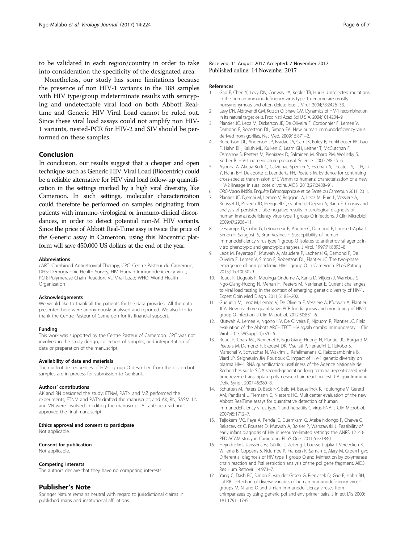<span id="page-5-0"></span>to be validated in each region/country in order to take into consideration the specificity of the designated area.

Nonetheless, our study has some limitations because the presence of non HIV-1 variants in the 188 samples with HIV type/group indeterminate results with serotyping and undetectable viral load on both Abbott Realtime and Generic HIV Viral Load cannot be ruled out. Since these viral load assays could not amplify non HIV-1 variants, nested-PCR for HIV-2 and SIV should be performed on these samples.

#### Conclusion

In conclusion, our results suggest that a cheaper and open technique such as Generic HIV Viral Load (Biocentric) could be a reliable alternative for HIV viral load follow-up quantification in the settings marked by a high viral diversity, like Cameroon. In such settings, molecular characterization could therefore be performed on samples originating from patients with immuno-virological or immuno-clinical discordances, in order to detect potential non-M HIV variants. Since the price of Abbott Real-Time assy is twice the price of the Generic assay in Cameroon, using this Biocentric platform will save 450,000 US dollars at the end of the year.

#### Abbreviations

cART: Combined Antiretroviral Therapy; CPC: Centre Pasteur du Cameroun; DHS: Demographic Health Survey; HIV: Human Immunodeficiency Virus; PCR: Polymerase Chain Reaction; VL: Viral Load; WHO: World Health **Organization** 

#### Acknowledgements

We would like to thank all the patients for the data provided. All the data presented here were anonymously analysed and reported. We also like to thank the Centre Pasteur of Cameroon for its financial support.

#### Funding

This work was supported by the Centre Pasteur of Cameroon. CPC was not involved in the study design, collection of samples, and interpretation of data or preparation of the manuscript.

#### Availability of data and materials

The nucleotide sequences of HIV-1 group O described from the discordant samples are in process for submission to GenBank.

#### Authors' contributions

AK and RN designed the study; ETNM, PATN and MZ performed the experiments; ETNM and PATN drafted the manuscript; and AK, RN, SASM, LN and VN were involved in editing the manuscript. All authors read and approved the final manuscript.

#### Ethics approval and consent to participate

Not applicable.

#### Consent for publication

Not applicable.

#### Competing interests

The authors declare that they have no competing interests.

#### Publisher's Note

Springer Nature remains neutral with regard to jurisdictional claims in published maps and institutional affiliations.

Received: 11 August 2017 Accepted: 7 November 2017 Published online: 14 November 2017

#### References

- 1. Gao F, Chen Y, Levy DN, Conway JA, Kepler TB, Hui H. Unselected mutations in the human immunodeficiency virus type 1 genome are mostly nonsynonymous and often deleterious. J Virol. 2004;78:2426–33.
- 2. Levy DN, Aldrovandi GM, Kutsch O, Shaw GM. Dynamics of HIV-1 recombination in its natural target cells. Proc Natl Acad Sci U S A. 2004;101:4204–9.
- 3. Plantier JC, Leoz M, Dickerson JE, De Oliveira F, Cordonnier F, Lemee V, Damond F, Robertson DL, Simon FA. New human immunodeficiency virus derived from gorillas. Nat Med. 2009;15:871–2.
- 4. Robertson DL, Anderson JP, Bradac JA, Carr JK, Foley B, Funkhouser RK, Gao F, Hahn BH, Kalish ML, Kuiken C, Learn GH, Leitner T, McCutchan F, Osmanov S, Peeters M, Pieniazek D, Salminen M, Sharp PM, Wolinsky S, Korber B. HIV-1 nomenclature proposal. Science. 2000;288:55–6.
- 5. Ayouba A, Akoua-Koffi C, Calvignac-Spencer S, Esteban A, Locatelli S, Li H, Li Y, Hahn BH, Delaporte E, Leendertz FH, Peeters M. Evidence for continuing cross-species transmission of SIVsmm to humans: characterization of a new HIV-2 lineage in rural cote d'Ivoire. AIDS. 2013;27:2488–91.
- 6. ORC-Macro INdlSa. Enquête Démographique et de Santé du Cameroun 2011. 2011.
- 7. Plantier JC, Djemai M, Lemee V, Reggiani A, Leoz M, Burc L, Vessiere A, Rousset D, Poveda JD, Henquell C, Gautheret-Dejean A, Barin F. Census and analysis of persistent false-negative results in serological diagnosis of human immunodeficiency virus type 1 group O infections. J Clin Microbiol. 2009;47:2906–11.
- 8. Descamps D, Collin G, Letourneur F, Apetrei C, Damond F, Loussert-Ajaka I, Simon F, Saragosti S, Brun-Vezinet F. Susceptibility of human immunodeficiency virus type 1 group O isolates to antiretroviral agents: in vitro phenotypic and genotypic analyses. J Virol. 1997;71:8893–8.
- 9. Leoz M, Feyertag F, Kfutwah A, Mauclere P, Lachenal G, Damond F, De Oliveira F, Lemee V, Simon F, Robertson DL, Plantier JC. The two-phase emergence of non pandemic HIV-1 group O in Cameroon. PLoS Pathog. 2015;11:e1005029.
- 10. Rouet F, Liegeois F, Mouinga-Ondeme A, Kania D, Viljoen J, Wambua S. Ngo-Giang-Huong N, Menan H, Peeters M, Nerrienet E. Current challenges to viral load testing in the context of emerging genetic diversity of HIV-1. Expert Opin Med Diagn. 2011;5:183–202.
- 11. Gueudin M, Leoz M, Lemee V, De Oliveira F, Vessiere A, Kfutwah A, Plantier JCA. New real-time quantitative PCR for diagnosis and monitoring of HIV-1 group O infection. J Clin Microbiol. 2012;50:831–6.
- 12. Kfutwah A, Lemee V, Ngono HV, De Oliveira F, Njouom R, Plantier JC. Field evaluation of the Abbott ARCHITECT HIV ag/ab combo immunoassay. J Clin Virol. 2013;58(Suppl 1):e70–5.
- 13. Rouet F, Chaix ML, Nerrienet E, Ngo-Giang-Huong N, Plantier JC, Burgard M, Peeters M, Damond F, Ekouevi DK, Msellati P, Ferradini L, Rukobo S, Marechal V, Schvachsa N, Wakrim L, Rafalimanana C, Rakotoambinina B, Viard JP, Seigneurin JM, Rouzioux C. Impact of HIV-1 genetic diversity on plasma HIV-1 RNA quantification: usefulness of the Agence Nationale de Recherches sur le SIDA second-generation long terminal repeat-based realtime reverse transcriptase polymerase chain reaction test. J Acquir Immune Defic Syndr. 2007;45:380–8.
- 14. Schutten M, Peters D, Back NK, Beld M, Beuselinck K, Foulongne V, Geretti AM, Pandiani L, Tiemann C, Niesters HG. Multicenter evaluation of the new Abbott RealTime assays for quantitative detection of human immunodeficiency virus type 1 and hepatitis C virus RNA. J Clin Microbiol. 2007;45:1712–7.
- 15. Tejiokem MC, Faye A, Penda IC, Guemkam G, Ateba Ndongo F, Chewa G, Rekacewicz C, Rousset D, Kfutwah A, Boisier P, Warszawski J. Feasibility of early infant diagnosis of HIV in resource-limited settings: the ANRS 12140- PEDIACAM study in Cameroon. PLoS One. 2011;6:e21840.
- 16. Heyndrickx l, Janssens w, Gürtler l, Zekeng l, Loussert-ajaka I, Vereecken K, Willems B, Coppens S, Ndumbe P, Fransen K, Saman E, Alary M, Groen1 gvd. Differential diagnosis of HIV type 1 group O and MInfection by polymerase chain reaction and Pstl restriction analysis of the pol gene fragment. AIDS Res Hum Retrovir. 14:973–7.
- 17. Yang C, Dash BC, Simon F, van der Groen G, Pieniazek D, Gao F, Hahn BH, Lal RB. Detection of diverse variants of human immunodeficiency virus-1 groups M, N, and O and simian immunodeficiency viruses from chimpanzees by using generic pol and env primer pairs. J Infect Dis 2000; 181:1791–1795.